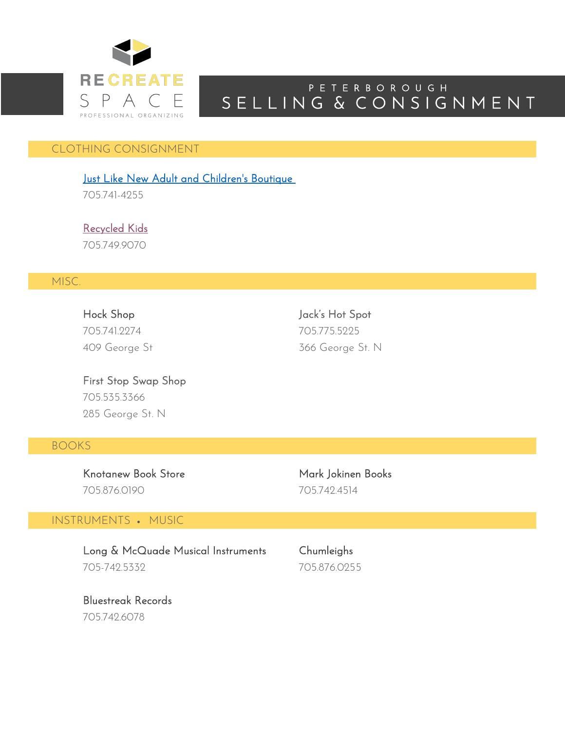

# S E L L I N G & C O N S I G N M E N T P E T E R B O R O U G H

### CLOTHING CONSIGNMENT

Just Like New Adult and Children's Boutique

705.741-4255

Recycled Kids 705.749.9070

## MISC.

705.741.2274 705.775.5225

Hock Shop Jack's Hot Spot 409 George St 366 George St. N

First Stop Swap Shop 705.535.3366 285 George St. N

### BOOKS

Knotanew Book Store Mark Jokinen Books 705.876.0190 705.742.4514

#### INSTRUMENTS • MUSIC

Long & McQuade Musical Instruments Chumleighs 705-742.5332 705.876.0255

Bluestreak Records 705.742.6078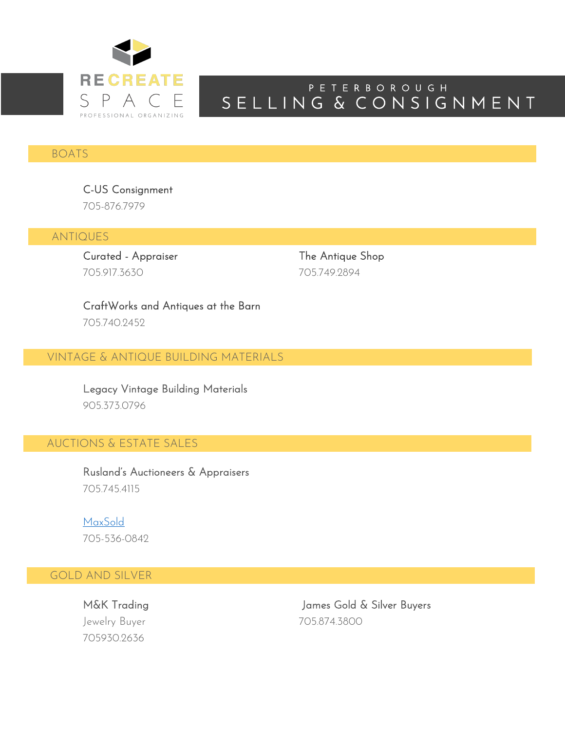

# S E L L I N G & C O N S I G N M E N T P E T E R B O R O U G H

### BOATS

C-US Consignment 705-876.7979

ANTIQUES

Curated - Appraiser The Antique Shop 705.917.3630 705.749.2894

CraftWorks and Antiques at the Barn 705.740.2452

VINTAGE & ANTIQUE BUILDING MATERIALS

Legacy Vintage Building Materials 905.373.0796

## AUCTIONS & ESTATE SALES

Rusland's Auctioneers & Appraisers 705.745.4115

MaxSold 705-536-0842

### GOLD AND SILVER

Ξ

Jewelry Buyer 705.874.3800 705930.2636

M&K Trading The Solar School of James Gold & Silver Buyers